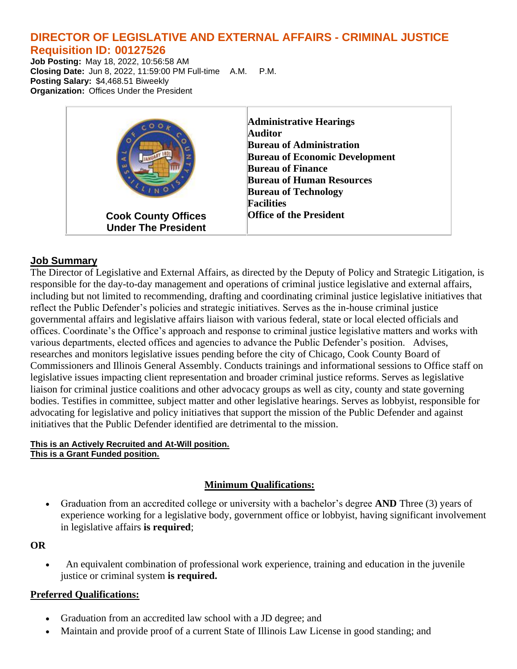# **DIRECTOR OF LEGISLATIVE AND EXTERNAL AFFAIRS - CRIMINAL JUSTICE Requisition ID: 00127526**

**Job Posting:** May 18, 2022, 10:56:58 AM **Closing Date:** Jun 8, 2022, 11:59:00 PM Full-time A.M. P.M. **Posting Salary:** \$4,468.51 Biweekly **Organization:** Offices Under the President



# **Job Summary**

The Director of Legislative and External Affairs, as directed by the Deputy of Policy and Strategic Litigation, is responsible for the day-to-day management and operations of criminal justice legislative and external affairs, including but not limited to recommending, drafting and coordinating criminal justice legislative initiatives that reflect the Public Defender's policies and strategic initiatives. Serves as the in-house criminal justice governmental affairs and legislative affairs liaison with various federal, state or local elected officials and offices. Coordinate's the Office's approach and response to criminal justice legislative matters and works with various departments, elected offices and agencies to advance the Public Defender's position. Advises, researches and monitors legislative issues pending before the city of Chicago, Cook County Board of Commissioners and Illinois General Assembly. Conducts trainings and informational sessions to Office staff on legislative issues impacting client representation and broader criminal justice reforms. Serves as legislative liaison for criminal justice coalitions and other advocacy groups as well as city, county and state governing bodies. Testifies in committee, subject matter and other legislative hearings. Serves as lobbyist, responsible for advocating for legislative and policy initiatives that support the mission of the Public Defender and against initiatives that the Public Defender identified are detrimental to the mission.

### **This is an Actively Recruited and At-Will position. This is a Grant Funded position.**

# **Minimum Qualifications:**

• Graduation from an accredited college or university with a bachelor's degree **AND** Three (3) years of experience working for a legislative body, government office or lobbyist, having significant involvement in legislative affairs **is required**;

### **OR**

• An equivalent combination of professional work experience, training and education in the juvenile justice or criminal system **is required.**

### **Preferred Qualifications:**

- Graduation from an accredited law school with a JD degree; and
- Maintain and provide proof of a current State of Illinois Law License in good standing; and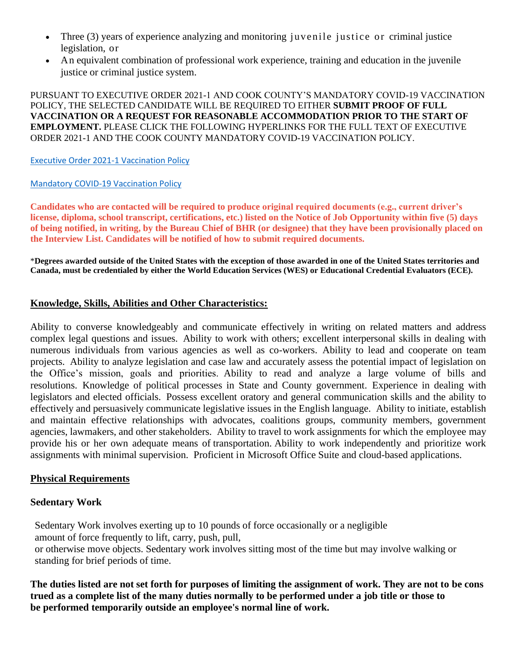- Three (3) years of experience analyzing and monitoring juvenile justice or criminal justice legislation, or
- An equivalent combination of professional work experience, training and education in the juvenile justice or criminal justice system.

PURSUANT TO EXECUTIVE ORDER 2021-1 AND COOK COUNTY'S MANDATORY COVID-19 VACCINATION POLICY, THE SELECTED CANDIDATE WILL BE REQUIRED TO EITHER **SUBMIT PROOF OF FULL VACCINATION OR A REQUEST FOR REASONABLE ACCOMMODATION PRIOR TO THE START OF EMPLOYMENT.** PLEASE CLICK THE FOLLOWING HYPERLINKS FOR THE FULL TEXT OF EXECUTIVE ORDER 2021-1 AND THE COOK COUNTY MANDATORY COVID-19 VACCINATION POLICY.

### [Executive Order 2021-1 Vaccination Policy](https://www.cookcountyil.gov/sites/g/files/ywwepo161/files/executive_order_2021-1_vaccination_policy_executed_8.20.21_0.pdf)

### [Mandatory COVID-19 Vaccination Policy](https://www.cookcountyil.gov/sites/g/files/ywwepo161/files/documents/2021-10/Mandatory%20COVID-19%20Vaccination.Policy%2010.19.21.pdf)

**Candidates who are contacted will be required to produce original required documents (e.g., current driver's license, diploma, school transcript, certifications, etc.) listed on the Notice of Job Opportunity within five (5) days of being notified, in writing, by the Bureau Chief of BHR (or designee) that they have been provisionally placed on the Interview List. Candidates will be notified of how to submit required documents.**

\***Degrees awarded outside of the United States with the exception of those awarded in one of the United States territories and Canada, must be credentialed by either the World Education Services (WES) or Educational Credential Evaluators (ECE).**

### **Knowledge, Skills, Abilities and Other Characteristics:**

Ability to converse knowledgeably and communicate effectively in writing on related matters and address complex legal questions and issues. Ability to work with others; excellent interpersonal skills in dealing with numerous individuals from various agencies as well as co-workers. Ability to lead and cooperate on team projects. Ability to analyze legislation and case law and accurately assess the potential impact of legislation on the Office's mission, goals and priorities. Ability to read and analyze a large volume of bills and resolutions. Knowledge of political processes in State and County government. Experience in dealing with legislators and elected officials. Possess excellent oratory and general communication skills and the ability to effectively and persuasively communicate legislative issues in the English language. Ability to initiate, establish and maintain effective relationships with advocates, coalitions groups, community members, government agencies, lawmakers, and other stakeholders. Ability to travel to work assignments for which the employee may provide his or her own adequate means of transportation. Ability to work independently and prioritize work assignments with minimal supervision. Proficient in Microsoft Office Suite and cloud-based applications.

### **Physical Requirements**

### **Sedentary Work**

Sedentary Work involves exerting up to 10 pounds of force occasionally or a negligible amount of force frequently to lift, carry, push, pull, or otherwise move objects. Sedentary work involves sitting most of the time but may involve walking or standing for brief periods of time.

The duties listed are not set forth for purposes of limiting the assignment of work. They are not to be cons **trued as a complete list of the many duties normally to be performed under a job title or those to be performed temporarily outside an employee's normal line of work.**